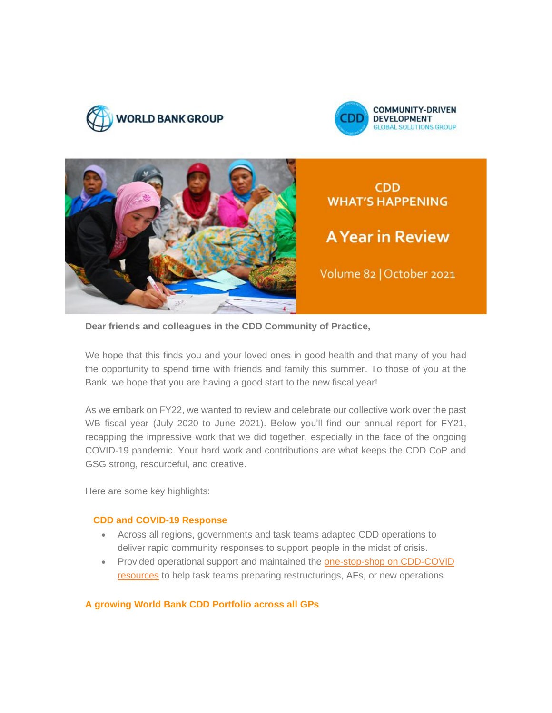





**CDD WHAT'S HAPPENING** 

# **A Year in Review**

Volume 82 | October 2021

**Dear friends and colleagues in the CDD Community of Practice,**

We hope that this finds you and your loved ones in good health and that many of you had the opportunity to spend time with friends and family this summer. To those of you at the Bank, we hope that you are having a good start to the new fiscal year!

As we embark on FY22, we wanted to review and celebrate our collective work over the past WB fiscal year (July 2020 to June 2021). Below you'll find our annual report for FY21, recapping the impressive work that we did together, especially in the face of the ongoing COVID-19 pandemic. Your hard work and contributions are what keeps the CDD CoP and GSG strong, resourceful, and creative.

Here are some key highlights:

#### **CDD and COVID-19 Response**

- Across all regions, governments and task teams adapted CDD operations to deliver rapid community responses to support people in the midst of crisis.
- Provided operational support and maintained the [one-stop-shop on CDD-COVID](https://worldbankgroup.sharepoint.com/sites/gsg/CDD/Pages/CDD-and-COVID19-06092020-091821.aspx)  [resources](https://worldbankgroup.sharepoint.com/sites/gsg/CDD/Pages/CDD-and-COVID19-06092020-091821.aspx) to help task teams preparing restructurings, AFs, or new operations

**A growing World Bank CDD Portfolio across all GPs**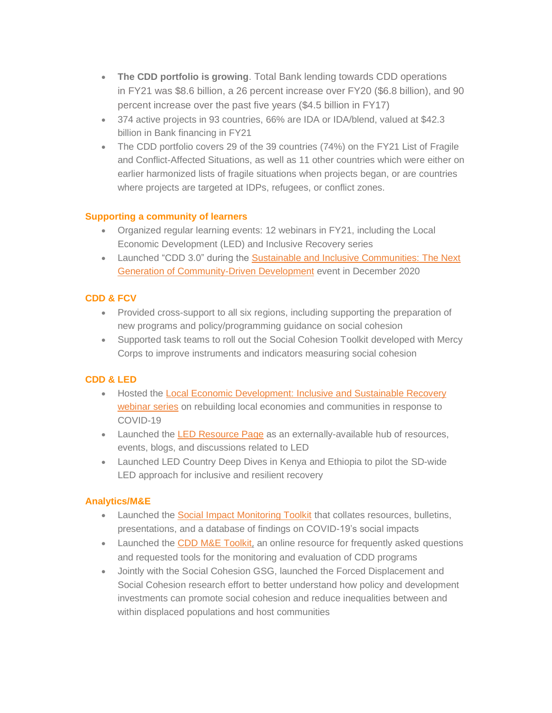- **The CDD portfolio is growing**. Total Bank lending towards CDD operations in FY21 was \$8.6 billion, a 26 percent increase over FY20 (\$6.8 billion), and 90 percent increase over the past five years (\$4.5 billion in FY17)
- 374 active projects in 93 countries, 66% are IDA or IDA/blend, valued at \$42.3 billion in Bank financing in FY21
- The CDD portfolio covers 29 of the 39 countries (74%) on the FY21 List of Fragile and Conflict-Affected Situations, as well as 11 other countries which were either on earlier harmonized lists of fragile situations when projects began, or are countries where projects are targeted at IDPs, refugees, or conflict zones.

### **Supporting a community of learners**

- Organized regular learning events: 12 webinars in FY21, including the Local Economic Development (LED) and Inclusive Recovery series
- Launched "CDD 3.0" during the [Sustainable and Inclusive Communities:](https://collaboration.worldbank.org/content/sites/collaboration-for-development/en/groups/community-driven-development-global-solutions-group/documents.entry.html/2020/12/25/ssi_forum_2020_sust-sHGz.html) The Next [Generation of Community-Driven Development](https://collaboration.worldbank.org/content/sites/collaboration-for-development/en/groups/community-driven-development-global-solutions-group/documents.entry.html/2020/12/25/ssi_forum_2020_sust-sHGz.html) event in December 2020

### **CDD & FCV**

- Provided cross-support to all six regions, including supporting the preparation of new programs and policy/programming guidance on social cohesion
- Supported task teams to roll out the Social Cohesion Toolkit developed with Mercy Corps to improve instruments and indicators measuring social cohesion

### **CDD & LED**

- Hosted the [Local Economic Development: Inclusive and Sustainable Recovery](https://collaboration.worldbank.org/content/sites/collaboration-for-development/en/groups/cdd-and-local-economic-development/about2.html)  [webinar series](https://collaboration.worldbank.org/content/sites/collaboration-for-development/en/groups/cdd-and-local-economic-development/about2.html) on rebuilding local economies and communities in response to COVID-19
- Launched the [LED Resource Page](https://collaboration.worldbank.org/content/sites/collaboration-for-development/en/groups/cdd-and-local-economic-development.html) as an externally-available hub of resources, events, blogs, and discussions related to LED
- Launched LED Country Deep Dives in Kenya and Ethiopia to pilot the SD-wide LED approach for inclusive and resilient recovery

### **Analytics/M&E**

- Launched the **Social Impact Monitoring Toolkit** that collates resources, bulletins, presentations, and a database of findings on COVID-19's social impacts
- Launched the [CDD M&E Toolkit](https://worldbankgroup.sharepoint.com/sites/gsg/CDD/Pages/ME-Toolkit-04052021-173331.aspx), an online resource for frequently asked questions and requested tools for the monitoring and evaluation of CDD programs
- Jointly with the Social Cohesion GSG, launched the Forced Displacement and Social Cohesion research effort to better understand how policy and development investments can promote social cohesion and reduce inequalities between and within displaced populations and host communities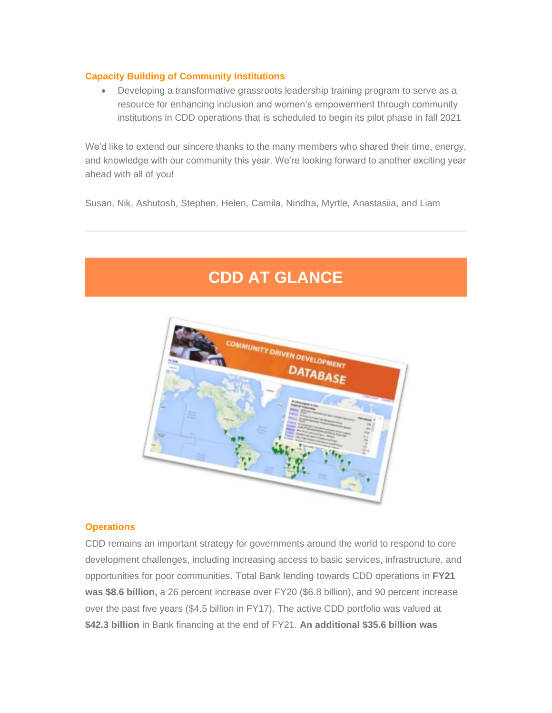#### **Capacity Building of Community Institutions**

• Developing a transformative grassroots leadership training program to serve as a resource for enhancing inclusion and women's empowerment through community institutions in CDD operations that is scheduled to begin its pilot phase in fall 2021

We'd like to extend our sincere thanks to the many members who shared their time, energy, and knowledge with our community this year. We're looking forward to another exciting year ahead with all of you!

Susan, Nik, Ashutosh, Stephen, Helen, Camila, Nindha, Myrtle, Anastasiia, and Liam

## **CDD AT GLANCE**



#### **Operations**

CDD remains an important strategy for governments around the world to respond to core development challenges, including increasing access to basic services, infrastructure, and opportunities for poor communities. Total Bank lending towards CDD operations in **FY21 was \$8.6 billion,** a 26 percent increase over FY20 (\$6.8 billion), and 90 percent increase over the past five years (\$4.5 billion in FY17). The active CDD portfolio was valued at **\$42.3 billion** in Bank financing at the end of FY21. **An additional \$35.6 billion was**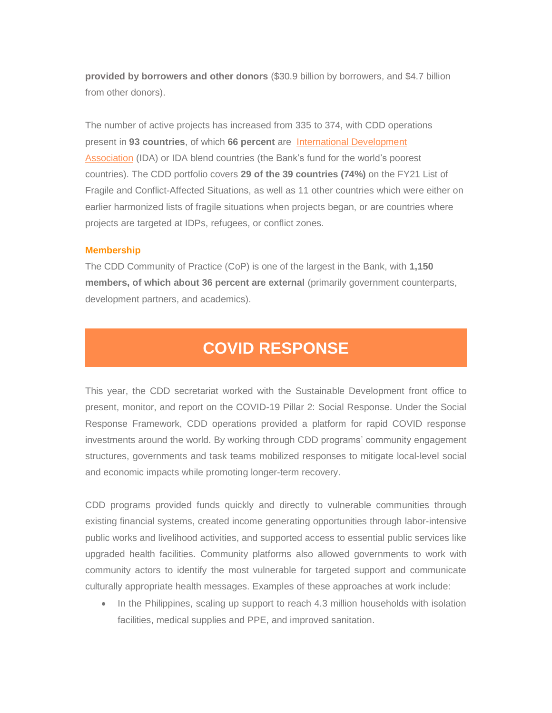**provided by borrowers and other donors** (\$30.9 billion by borrowers, and \$4.7 billion from other donors).

The number of active projects has increased from 335 to 374, with CDD operations present in **93 countries**, of which **66 percent** are International [Development](https://nam03.safelinks.protection.outlook.com/?url=https%3A%2F%2Fworldbank.us18.list-manage.com%2Ftrack%2Fclick%3Fu%3D5294156307bdfea3787948234%26id%3D65ee9f86ff%26e%3Df1672ebc77&data=02%7C01%7Caraina%40worldbank.org%7Ce0664b7395d04e49a7cf08d865af25d3%7C31a2fec0266b4c67b56e2796d8f59c36%7C0%7C0%7C637371150216464661&sdata=3s%2BMqQAQvkPyharSZf0jv2pSsSrOA08MB9vAi8DvilQ%3D&reserved=0) [Association](https://nam03.safelinks.protection.outlook.com/?url=https%3A%2F%2Fworldbank.us18.list-manage.com%2Ftrack%2Fclick%3Fu%3D5294156307bdfea3787948234%26id%3D65ee9f86ff%26e%3Df1672ebc77&data=02%7C01%7Caraina%40worldbank.org%7Ce0664b7395d04e49a7cf08d865af25d3%7C31a2fec0266b4c67b56e2796d8f59c36%7C0%7C0%7C637371150216464661&sdata=3s%2BMqQAQvkPyharSZf0jv2pSsSrOA08MB9vAi8DvilQ%3D&reserved=0) (IDA) or IDA blend countries (the Bank's fund for the world's poorest countries). The CDD portfolio covers **29 of the 39 countries (74%)** on the FY21 List of Fragile and Conflict-Affected Situations, as well as 11 other countries which were either on earlier harmonized lists of fragile situations when projects began, or are countries where projects are targeted at IDPs, refugees, or conflict zones.

#### **Membership**

The CDD Community of Practice (CoP) is one of the largest in the Bank, with **1,150 members, of which about 36 percent are external** (primarily government counterparts, development partners, and academics).

### **COVID RESPONSE**

This year, the CDD secretariat worked with the Sustainable Development front office to present, monitor, and report on the COVID-19 Pillar 2: Social Response. Under the Social Response Framework, CDD operations provided a platform for rapid COVID response investments around the world. By working through CDD programs' community engagement structures, governments and task teams mobilized responses to mitigate local-level social and economic impacts while promoting longer-term recovery.

CDD programs provided funds quickly and directly to vulnerable communities through existing financial systems, created income generating opportunities through labor-intensive public works and livelihood activities, and supported access to essential public services like upgraded health facilities. Community platforms also allowed governments to work with community actors to identify the most vulnerable for targeted support and communicate culturally appropriate health messages. Examples of these approaches at work include:

• In the Philippines, scaling up support to reach 4.3 million households with isolation facilities, medical supplies and PPE, and improved sanitation.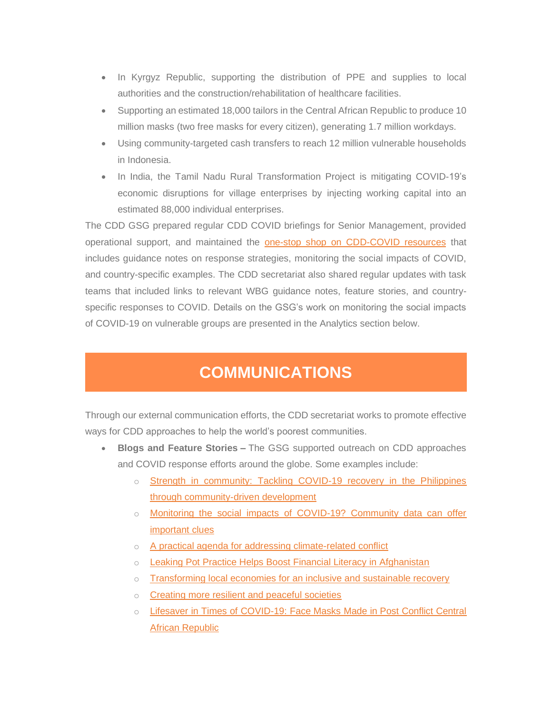- In Kyrgyz Republic, supporting the distribution of PPE and supplies to local authorities and the construction/rehabilitation of healthcare facilities.
- Supporting an estimated 18,000 tailors in the Central African Republic to produce 10 million masks (two free masks for every citizen), generating 1.7 million workdays.
- Using community-targeted cash transfers to reach 12 million vulnerable households in Indonesia.
- In India, the Tamil Nadu Rural Transformation Project is mitigating COVID-19's economic disruptions for village enterprises by injecting working capital into an estimated 88,000 individual enterprises.

The CDD GSG prepared regular CDD COVID briefings for Senior Management, provided operational support, and maintained the **[one-stop shop on CDD-COVID resources](https://worldbankgroup.sharepoint.com/sites/gsg/CDD/Pages/CDD-and-COVID19-06092020-091821.aspx)** that includes guidance notes on response strategies, monitoring the social impacts of COVID, and country-specific examples. The CDD secretariat also shared regular updates with task teams that included links to relevant WBG guidance notes, feature stories, and countryspecific responses to COVID. Details on the GSG's work on monitoring the social impacts of COVID-19 on vulnerable groups are presented in the Analytics section below.

### **COMMUNICATIONS**

Through our external communication efforts, the CDD secretariat works to promote effective ways for CDD approaches to help the world's poorest communities.

- **Blogs and Feature Stories –** The GSG supported outreach on CDD approaches and COVID response efforts around the globe. Some examples include:
	- $\circ$  Strength in community: Tackling COVID-19 recovery in the Philippines [through community-driven development](https://blogs.worldbank.org/eastasiapacific/strength-community-tackling-covid-19-recovery-philippines-through-community-driven)
	- o Monitoring the social impacts of COVID-19? Community data can offer [important clues](https://blogs.worldbank.org/voices/monitoring-social-impacts-covid-19-community-data-can-offer-important-clues)
	- o [A practical agenda for addressing climate-related conflict](https://blogs.worldbank.org/climatechange/practical-agenda-addressing-climate-related-conflict?cid=sd_tt_socialdevelopment_en_ext+)
	- o [Leaking Pot Practice Helps Boost Financial Literacy in Afghanistan](https://www.worldbank.org/en/news/feature/2021/01/17/leaking-pot-exercise-helps-thousands-of-poor-households-reduce-excess-spending-in-afghanistan)
	- o [Transforming local economies for an inclusive and sustainable recovery](https://blogs.worldbank.org/voices/transforming-local-economies-inclusive-and-sustainable-recovery)
	- o [Creating more resilient and peaceful societies](https://blogs.worldbank.org/dev4peace/creating-more-resilient-and-peaceful-societies)
	- o [Lifesaver in Times of COVID-19: Face Masks Made in Post Conflict Central](https://worldbankgroup.sharepoint.com.mcas.ms/sites/news/Pages/Lifesaver-in-Times-of-COVID19-Face-Masks-Made-in-Post-Conflict-Central-African-Republic-28072020-144724.aspx?CT=1627658125346&OR=OWA-NT&CID=cd5800a9-799c-34da-7e9f-acc5b6b0775f)  [African Republic](https://worldbankgroup.sharepoint.com.mcas.ms/sites/news/Pages/Lifesaver-in-Times-of-COVID19-Face-Masks-Made-in-Post-Conflict-Central-African-Republic-28072020-144724.aspx?CT=1627658125346&OR=OWA-NT&CID=cd5800a9-799c-34da-7e9f-acc5b6b0775f)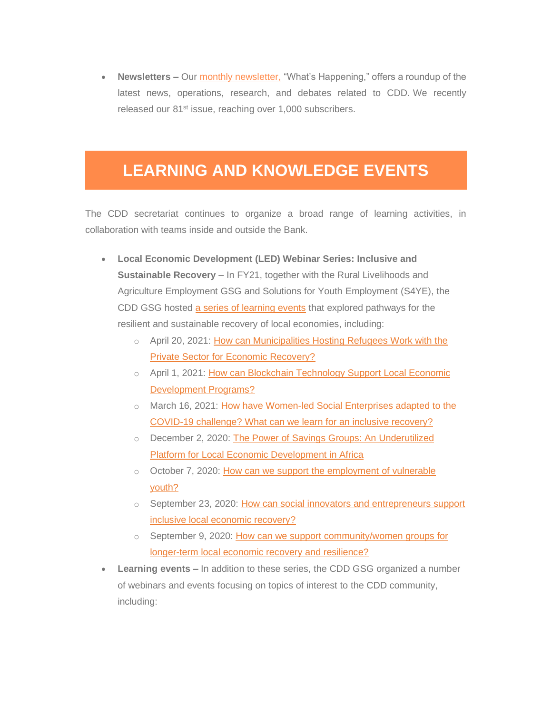• **Newsletters –** Our [monthly newsletter](https://nam03.safelinks.protection.outlook.com/?url=https%3A%2F%2Fworldbank.us18.list-manage.com%2Ftrack%2Fclick%3Fu%3D5294156307bdfea3787948234%26id%3Da2564ca675%26e%3Df1672ebc77&data=02%7C01%7Caraina%40worldbank.org%7Ce0664b7395d04e49a7cf08d865af25d3%7C31a2fec0266b4c67b56e2796d8f59c36%7C0%7C0%7C637371150216534628&sdata=Fw2DZwSC27Jjkm4U4b3FL68%2BsTsdHO6Abvik3IGZ4uw%3D&reserved=0)[,](https://nam03.safelinks.protection.outlook.com/?url=https%3A%2F%2Fworldbank.us18.list-manage.com%2Ftrack%2Fclick%3Fu%3D5294156307bdfea3787948234%26id%3D69793afd15%26e%3Df1672ebc77&data=02%7C01%7Caraina%40worldbank.org%7Ce0664b7395d04e49a7cf08d865af25d3%7C31a2fec0266b4c67b56e2796d8f59c36%7C0%7C0%7C637371150216544614&sdata=FnqCy%2FeGG4IkXuw4tNh2VbDcjLIYSqoVb7fgdYYkJiw%3D&reserved=0) "What's Happening," offers a roundup of the latest news, operations, research, and debates related to CDD. We recently released our 81<sup>st</sup> issue, reaching over 1,000 subscribers.

# **LEARNING AND KNOWLEDGE EVENTS**

The CDD secretariat continues to organize a broad range of learning activities, in collaboration with teams inside and outside the Bank.

- **Local Economic Development (LED) Webinar Series: Inclusive and Sustainable Recovery** – In FY21, together with the Rural Livelihoods and Agriculture Employment GSG and Solutions for Youth Employment (S4YE), the CDD GSG hosted [a series of learning events](https://collaboration.worldbank.org/content/sites/collaboration-for-development/en/groups/cdd-and-local-economic-development/about2.html) that explored pathways for the resilient and sustainable recovery of local economies, including:
	- o April 20, 2021: How can Municipalities Hosting Refugees Work with the [Private Sector for Economic Recovery?](https://web.microsoftstream.com/video/48a23925-6947-4a2b-ba97-2e5794eebd35)
	- o April 1, 2021: How can Blockchain Technology Support Local Economic [Development Programs?](https://collaboration.worldbank.org/content/sites/collaboration-for-development/en/groups/cdd-and-local-economic-development/calendar.event.html/how_can_blockchaintechnologysupportlocaleconom-M5mm.html)
	- o March 16, 2021: [How have Women-led Social Enterprises adapted to the](https://us02web.zoom.us/rec/play/FVb1ib2pCJU7yMwR5mjZwrSorvCvqAyhzoIcOMoK_nVIyqjuExnZPg4RIA41GTN0U2BXHcT_PbDXKumk.SF7wqVJolE6swfvS?continueMode=true)  [COVID-19 challenge? What can we learn for an inclusive recovery?](https://us02web.zoom.us/rec/play/FVb1ib2pCJU7yMwR5mjZwrSorvCvqAyhzoIcOMoK_nVIyqjuExnZPg4RIA41GTN0U2BXHcT_PbDXKumk.SF7wqVJolE6swfvS?continueMode=true)
	- o December 2, 2020: The Power of Savings Groups: An Underutilized [Platform for Local Economic Development in Africa](https://vimeo.com/486457466)
	- o October 7, 2020: How can we support the employment of vulnerable [youth?](https://www.worldbank.org/en/news/video/2020/10/15/led-series-3-how-can-we-respond-to-the-employment-of-vulnerable-youth)
	- $\circ$  September 23, 2020: How can social innovators and entrepreneurs support [inclusive local economic recovery?](https://www.worldbank.org/en/news/video/2020/09/23/led-series-2-how-can-social-innovators-and-entrepreneurs-support-inclusive-local-economic-recovery)
	- $\circ$  September 9, 2020: How can we support community/women groups for [longer-term local economic recovery and resilience?](https://web.microsoftstream.com/video/d07dea7e-6877-4423-b028-c34284cac447)
- **Learning events –** In addition to these series, the CDD GSG organized a number of webinars and events focusing on topics of interest to the CDD community, including: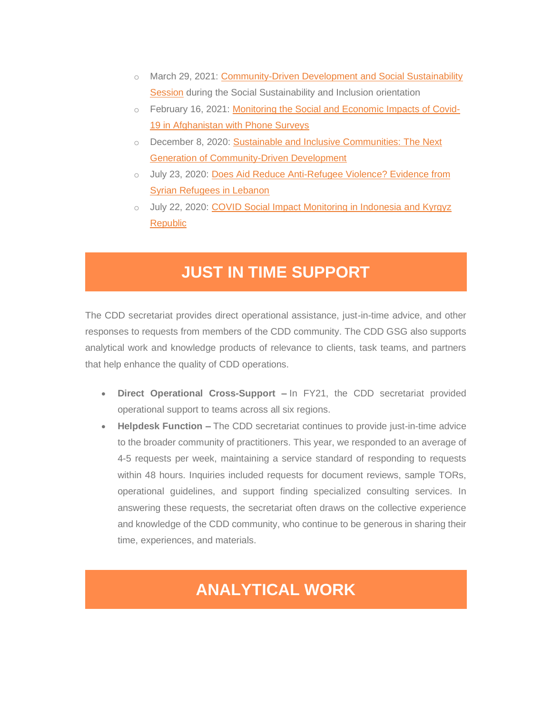- o March 29, 2021: Community-Driven Development and Social Sustainability [Session](https://worldbankgroup.sharepoint.com/sites/social/Pages/pc/SSI-Core-Learning-Program-03022021-122251/Week-2-Program-03162021-210311.aspx) during the Social Sustainability and Inclusion orientation
- o February 16, 2021: [Monitoring the Social and Economic Impacts of Covid-](https://worldbankgroup.sharepoint.com.mcas.ms/sites/gsg/CDD/Sitepages/Detail.aspx/Events/mode=view?_Id=218&SiteURL=/sites/gsg/cdd)[19 in Afghanistan with Phone Surveys](https://worldbankgroup.sharepoint.com.mcas.ms/sites/gsg/CDD/Sitepages/Detail.aspx/Events/mode=view?_Id=218&SiteURL=/sites/gsg/cdd)
- o December 8, 2020: [Sustainable and Inclusive Communities: The Next](https://collaboration.worldbank.org/content/sites/collaboration-for-development/en/groups/community-driven-development-global-solutions-group/documents.entry.html/2020/12/25/ssi_forum_2020_sust-sHGz.html)  [Generation of Community-Driven Development](https://collaboration.worldbank.org/content/sites/collaboration-for-development/en/groups/community-driven-development-global-solutions-group/documents.entry.html/2020/12/25/ssi_forum_2020_sust-sHGz.html)
- o July 23, 2020: Does Aid Reduce Anti-Refugee Violence? Evidence from [Syrian Refugees in Lebanon](https://worldbankgroup.sharepoint.com.mcas.ms/sites/gsg/CDD/Sitepages/Detail.aspx/Events/mode=view?_Id=216&SiteURL=/sites/gsg/CDD)
- o July 22, 2020: [COVID Social Impact Monitoring in Indonesia and Kyrgyz](https://worldbankgroup.sharepoint.com.mcas.ms/sites/gsg/CDD/Sitepages/Detail.aspx/Events/mode=view?_Id=214&SiteURL=/sites/gsg/CDD&CT=1628182210881&OR=OWA-NT&CID=ca779b97-c0b0-f9ec-28b5-a0070a8dc64b)  [Republic](https://worldbankgroup.sharepoint.com.mcas.ms/sites/gsg/CDD/Sitepages/Detail.aspx/Events/mode=view?_Id=214&SiteURL=/sites/gsg/CDD&CT=1628182210881&OR=OWA-NT&CID=ca779b97-c0b0-f9ec-28b5-a0070a8dc64b)

# **JUST IN TIME SUPPORT**

The CDD secretariat provides direct operational assistance, just-in-time advice, and other responses to requests from members of the CDD community. The CDD GSG also supports analytical work and knowledge products of relevance to clients, task teams, and partners that help enhance the quality of CDD operations.

- **Direct Operational Cross-Support –** In FY21, the CDD secretariat provided operational support to teams across all six regions.
- **Helpdesk Function –** The CDD secretariat continues to provide just-in-time advice to the broader community of practitioners. This year, we responded to an average of 4-5 requests per week, maintaining a service standard of responding to requests within 48 hours. Inquiries included requests for document reviews, sample TORs, operational guidelines, and support finding specialized consulting services. In answering these requests, the secretariat often draws on the collective experience and knowledge of the CDD community, who continue to be generous in sharing their time, experiences, and materials.

# **ANALYTICAL WORK**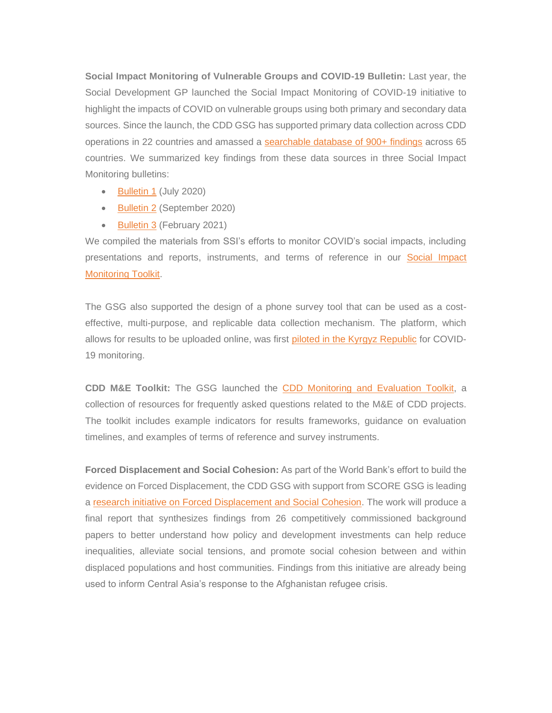**Social Impact Monitoring of Vulnerable Groups and COVID-19 Bulletin:** Last year, the Social Development GP launched the Social Impact Monitoring of COVID-19 initiative to highlight the impacts of COVID on vulnerable groups using both primary and secondary data sources. Since the launch, the CDD GSG has supported primary data collection across CDD operations in 22 countries and amassed a [searchable database of 900+ findings](https://docs.google.com/spreadsheets/d/1GTKy5a8toJIQGRITrkuwaScQK6Qvsm8HWwuWuPxCCxQ/edit#gid=1895838907) across 65 countries. We summarized key findings from these data sources in three Social Impact Monitoring bulletins:

- **[Bulletin 1](https://worldbankgroup.sharepoint.com.mcas.ms/sites/social/Documents/Social%20Responses%20to%20COVID-19/Covid-19%20Social%20Impacts%20Bulletin%201%20Final.pdf?McasTsid=20892)** (July 2020)
- [Bulletin 2](https://worldbankgroup.sharepoint.com.mcas.ms/sites/social/Documents/Social%20Responses%20to%20COVID-19/Covid-19%20Social%20Impacts%20Bulletin%202%20Final.pdf?McasTsid=20892) (September 2020)
- [Bulletin 3](https://worldbankgroup.sharepoint.com.mcas.ms/sites/social/Documents/Social%20Responses%20to%20COVID-19/Covid-19%20Social%20Impacts%20Bulletin%203_FINAL.pdf?McasTsid=20892) (February 2021)

We compiled the materials from SSI's efforts to monitor COVID's social impacts, including presentations and reports, instruments, and terms of reference in our [Social Impact](https://worldbankgroup.sharepoint.com.mcas.ms/:f:/r/sites/gsg/CDD/Documents/CDD%20and%20COVID-19%20Response/Covid%20Social%20Impact%20Monitoring%20Toolkit?csf=1&web=1&McasTsid=20892)  [Monitoring Toolkit.](https://worldbankgroup.sharepoint.com.mcas.ms/:f:/r/sites/gsg/CDD/Documents/CDD%20and%20COVID-19%20Response/Covid%20Social%20Impact%20Monitoring%20Toolkit?csf=1&web=1&McasTsid=20892)

The GSG also supported the design of a phone survey tool that can be used as a costeffective, multi-purpose, and replicable data collection mechanism. The platform, which allows for results to be uploaded online, was first [piloted in the Kyrgyz Republic](https://kyrgyz-demo-republic-village-covid-19.yrpri.org/group/3733) for COVID-19 monitoring.

**CDD M&E Toolkit:** The GSG launched the CDD [Monitoring and Evaluation Toolkit,](https://worldbankgroup.sharepoint.com/sites/gsg/CDD/Pages/ME-Toolkit-04052021-173331.aspx) a collection of resources for frequently asked questions related to the M&E of CDD projects. The toolkit includes example indicators for results frameworks, guidance on evaluation timelines, and examples of terms of reference and survey instruments.

**Forced Displacement and Social Cohesion:** As part of the World Bank's effort to build the evidence on Forced Displacement, the CDD GSG with support from SCORE GSG is leading a [research initiative on Forced Displacement and Social Cohesion.](https://www.worldbank.org/en/programs/building-the-evidence-on-forced-displacement) The work will produce a final report that synthesizes findings from 26 competitively commissioned background papers to better understand how policy and development investments can help reduce inequalities, alleviate social tensions, and promote social cohesion between and within displaced populations and host communities. Findings from this initiative are already being used to inform Central Asia's response to the Afghanistan refugee crisis.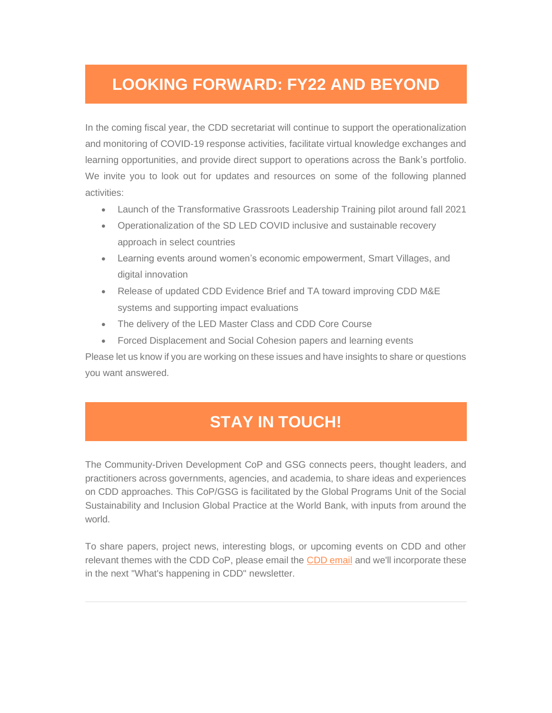# **LOOKING FORWARD: FY22 AND BEYOND**

In the coming fiscal year, the CDD secretariat will continue to support the operationalization and monitoring of COVID-19 response activities, facilitate virtual knowledge exchanges and learning opportunities, and provide direct support to operations across the Bank's portfolio. We invite you to look out for updates and resources on some of the following planned activities:

- Launch of the Transformative Grassroots Leadership Training pilot around fall 2021
- Operationalization of the SD LED COVID inclusive and sustainable recovery approach in select countries
- Learning events around women's economic empowerment, Smart Villages, and digital innovation
- Release of updated CDD Evidence Brief and TA toward improving CDD M&E systems and supporting impact evaluations
- The delivery of the LED Master Class and CDD Core Course
- Forced Displacement and Social Cohesion papers and learning events

Please let us know if you are working on these issues and have insights to share or questions you want answered.

# **[STAY IN TOUCH!](https://nam03.safelinks.protection.outlook.com/?url=https%3A%2F%2Fworldbank.us18.list-manage.com%2Ftrack%2Fclick%3Fu%3D5294156307bdfea3787948234%26id%3D33633519a2%26e%3Df1672ebc77&data=02%7C01%7Caraina%40worldbank.org%7Ce0664b7395d04e49a7cf08d865af25d3%7C31a2fec0266b4c67b56e2796d8f59c36%7C0%7C0%7C637371150216614579&sdata=%2F%2B8Zx0%2F6gITMTmntA6kQPVyBk4QI%2B9HiArZTyRaOUQA%3D&reserved=0)**

The Community-Driven Development CoP and GSG connects peers, thought leaders, and practitioners across governments, agencies, and academia, to share ideas and experiences on CDD approaches. This CoP/GSG is facilitated by the Global Programs Unit of the Social Sustainability and Inclusion Global Practice at the World Bank, with inputs from around the world.

To share papers, project news, interesting blogs, or upcoming events on CDD and other relevant themes with the CDD CoP, please [email](mailto:cddgsg@worldbank.org) the CDD email and we'll incorporate these in the next "What's happening in CDD" newsletter.